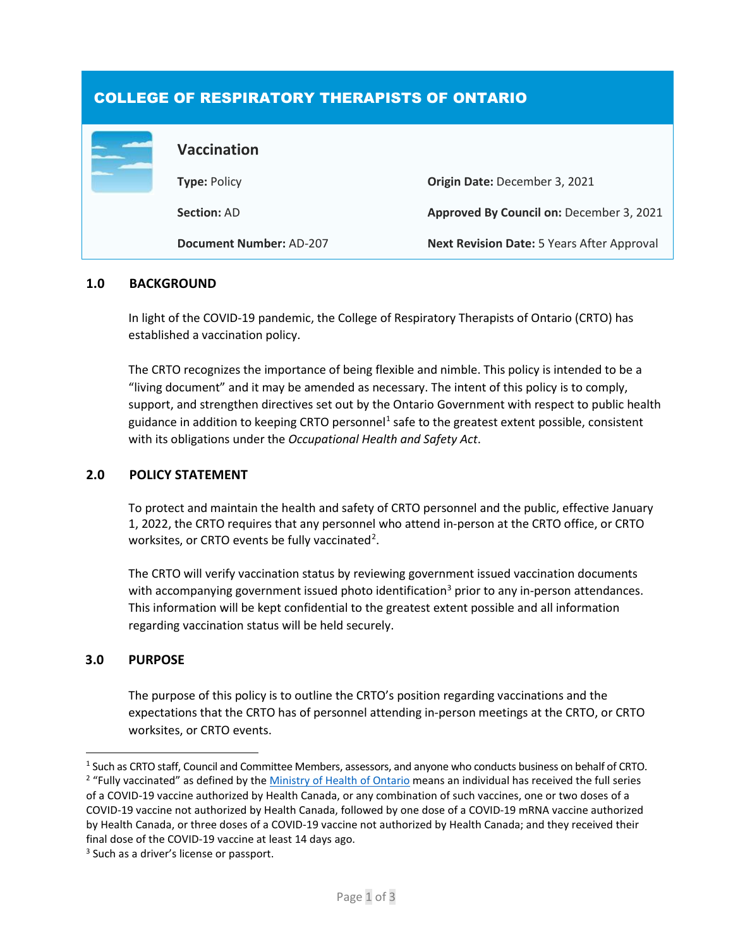# COLLEGE OF RESPIRATORY THERAPISTS OF ONTARIO

|  | <b>Vaccination</b>             |                                            |
|--|--------------------------------|--------------------------------------------|
|  | <b>Type: Policy</b>            | Origin Date: December 3, 2021              |
|  | <b>Section: AD</b>             | Approved By Council on: December 3, 2021   |
|  | <b>Document Number: AD-207</b> | Next Revision Date: 5 Years After Approval |

## **1.0 BACKGROUND**

In light of the COVID-19 pandemic, the College of Respiratory Therapists of Ontario (CRTO) has established a vaccination policy.

The CRTO recognizes the importance of being flexible and nimble. This policy is intended to be a "living document" and it may be amended as necessary. The intent of this policy is to comply, support, and strengthen directives set out by the Ontario Government with respect to public health guidance in addition to keeping CRTO personnel<sup>[1](#page-0-0)</sup> safe to the greatest extent possible, consistent with its obligations under the *Occupational Health and Safety Act*.

## **2.0 POLICY STATEMENT**

To protect and maintain the health and safety of CRTO personnel and the public, effective January 1, 2022, the CRTO requires that any personnel who attend in-person at the CRTO office, or CRTO worksites, or CRTO events be fully vaccinated<sup>[2](#page-0-1)</sup>.

The CRTO will verify vaccination status by reviewing government issued vaccination documents with accompanying government issued photo identification<sup>[3](#page-0-2)</sup> prior to any in-person attendances. This information will be kept confidential to the greatest extent possible and all information regarding vaccination status will be held securely.

## **3.0 PURPOSE**

The purpose of this policy is to outline the CRTO's position regarding vaccinations and the expectations that the CRTO has of personnel attending in-person meetings at the CRTO, or CRTO worksites, or CRTO events.

<span id="page-0-0"></span><sup>&</sup>lt;sup>1</sup> Such as CRTO staff, Council and Committee Members, assessors, and anyone who conducts business on behalf of CRTO.

<span id="page-0-1"></span><sup>&</sup>lt;sup>2</sup> "Fully vaccinated" as defined by th[e Ministry of Health of Ontario](https://www.health.gov.on.ca/en/pro/programs/publichealth/coronavirus/docs/vaccine/COVID-19_fully_vaccinated_status_ontario.pdf) means an individual has received the full series of a COVID-19 vaccine authorized by Health Canada, or any combination of such vaccines, one or two doses of a COVID-19 vaccine not authorized by Health Canada, followed by one dose of a COVID-19 mRNA vaccine authorized by Health Canada, or three doses of a COVID-19 vaccine not authorized by Health Canada; and they received their final dose of the COVID-19 vaccine at least 14 days ago.

<span id="page-0-2"></span><sup>&</sup>lt;sup>3</sup> Such as a driver's license or passport.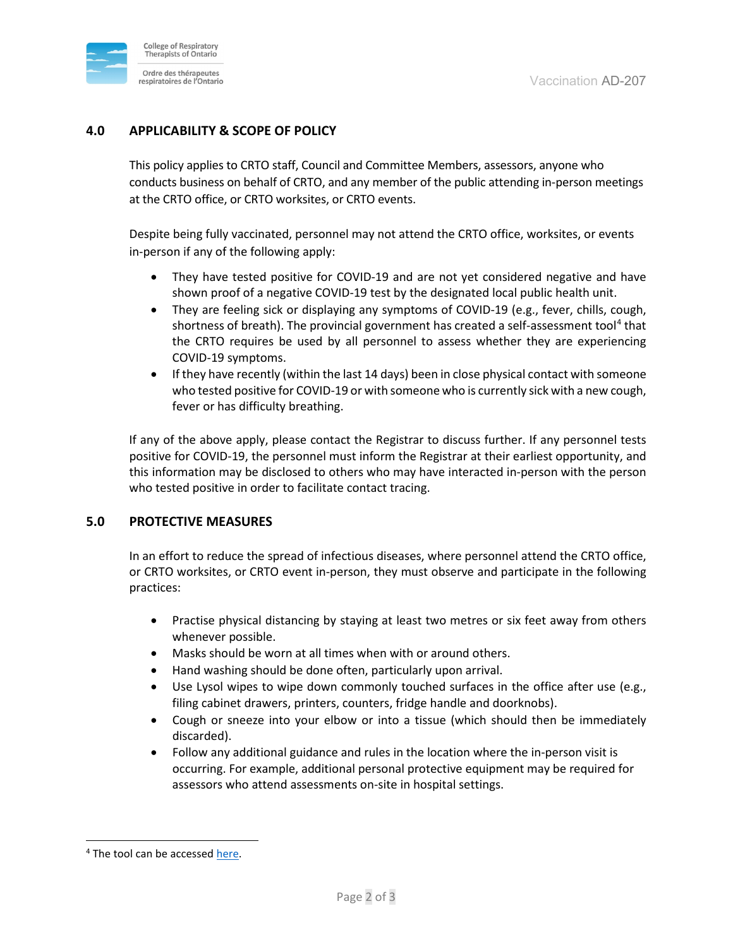

# **4.0 APPLICABILITY & SCOPE OF POLICY**

This policy applies to CRTO staff, Council and Committee Members, assessors, anyone who conducts business on behalf of CRTO, and any member of the public attending in-person meetings at the CRTO office, or CRTO worksites, or CRTO events.

Despite being fully vaccinated, personnel may not attend the CRTO office, worksites, or events in-person if any of the following apply:

- They have tested positive for COVID-19 and are not yet considered negative and have shown proof of a negative COVID-19 test by the designated local public health unit.
- They are feeling sick or displaying any symptoms of COVID-19 (e.g., fever, chills, cough, shortness of breath). The provincial government has created a self-assessment tool<sup>[4](#page-1-0)</sup> that the CRTO requires be used by all personnel to assess whether they are experiencing COVID-19 symptoms.
- If they have recently (within the last 14 days) been in close physical contact with someone who tested positive for COVID-19 or with someone who is currently sick with a new cough, fever or has difficulty breathing.

If any of the above apply, please contact the Registrar to discuss further. If any personnel tests positive for COVID-19, the personnel must inform the Registrar at their earliest opportunity, and this information may be disclosed to others who may have interacted in-person with the person who tested positive in order to facilitate contact tracing.

## **5.0 PROTECTIVE MEASURES**

In an effort to reduce the spread of infectious diseases, where personnel attend the CRTO office, or CRTO worksites, or CRTO event in-person, they must observe and participate in the following practices:

- Practise physical distancing by staying at least two metres or six feet away from others whenever possible.
- Masks should be worn at all times when with or around others.
- Hand washing should be done often, particularly upon arrival.
- Use Lysol wipes to wipe down commonly touched surfaces in the office after use (e.g., filing cabinet drawers, printers, counters, fridge handle and doorknobs).
- Cough or sneeze into your elbow or into a tissue (which should then be immediately discarded).
- Follow any additional guidance and rules in the location where the in-person visit is occurring. For example, additional personal protective equipment may be required for assessors who attend assessments on-site in hospital settings.

<span id="page-1-0"></span><sup>&</sup>lt;sup>4</sup> The tool can be accessed [here.](https://covid-19.ontario.ca/self-assessment/)